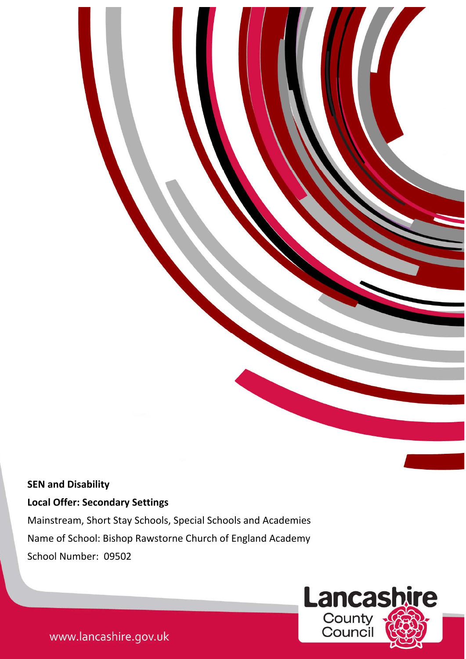# **SEN and Disability**

# **Local Offer: Secondary Settings**

and the state of the state of the state of

Mainstream, Short Stay Schools, Special Schools and Academies Name of School: Bishop Rawstorne Church of England Academy School Number: 09502

1



www.lancashire.gov.uk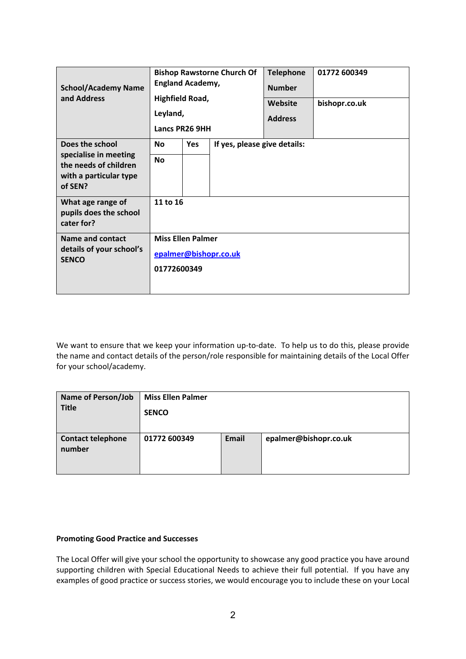| <b>School/Academy Name</b><br>and Address                                                              | <b>Bishop Rawstorne Church Of</b><br><b>England Academy,</b><br><b>Highfield Road,</b><br>Leyland,<br>Lancs PR26 9HH |            |                              | <b>Telephone</b><br><b>Number</b><br>Website<br><b>Address</b> | 01772 600349<br>bishopr.co.uk |  |
|--------------------------------------------------------------------------------------------------------|----------------------------------------------------------------------------------------------------------------------|------------|------------------------------|----------------------------------------------------------------|-------------------------------|--|
| Does the school<br>specialise in meeting<br>the needs of children<br>with a particular type<br>of SEN? | <b>No</b><br><b>No</b>                                                                                               | <b>Yes</b> | If yes, please give details: |                                                                |                               |  |
| What age range of<br>pupils does the school<br>cater for?                                              | 11 to 16                                                                                                             |            |                              |                                                                |                               |  |
| Name and contact<br>details of your school's<br><b>SENCO</b>                                           | <b>Miss Ellen Palmer</b><br>epalmer@bishopr.co.uk<br>01772600349                                                     |            |                              |                                                                |                               |  |

We want to ensure that we keep your information up-to-date. To help us to do this, please provide the name and contact details of the person/role responsible for maintaining details of the Local Offer for your school/academy.

| <b>Name of Person/Job</b><br><b>Title</b> | <b>Miss Ellen Palmer</b><br><b>SENCO</b> |       |                       |
|-------------------------------------------|------------------------------------------|-------|-----------------------|
| <b>Contact telephone</b><br>number        | 01772 600349                             | Email | epalmer@bishopr.co.uk |

# **Promoting Good Practice and Successes**

The Local Offer will give your school the opportunity to showcase any good practice you have around supporting children with Special Educational Needs to achieve their full potential. If you have any examples of good practice or success stories, we would encourage you to include these on your Local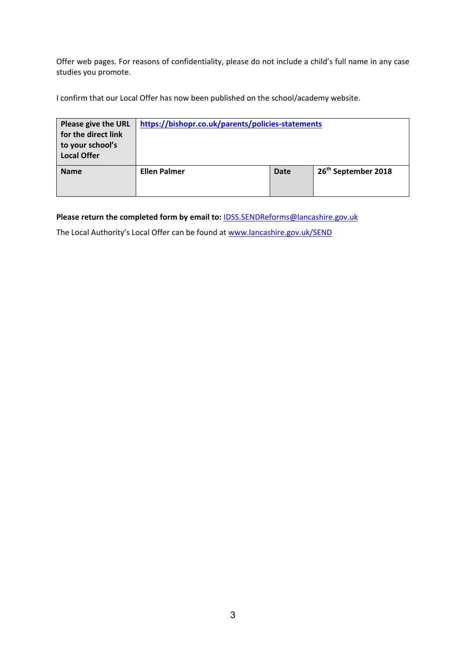Offer web pages. For reasons of confidentiality, please do not include a child's full name in any case studies you promote.

I confirm that our Local Offer has now been published on the school/academy website.

| Please give the URL<br>for the direct link<br>to your school's<br><b>Local Offer</b> | https://bishopr.co.uk/parents/policies-statements |      |                                 |
|--------------------------------------------------------------------------------------|---------------------------------------------------|------|---------------------------------|
| <b>Name</b>                                                                          | <b>Ellen Palmer</b>                               | Date | 26 <sup>th</sup> September 2018 |

**Please return the completed form by email to:** IDSS.SENDReforms@lancashire.gov.uk

The Local Authority's Local Offer can be found at www.lancashire.gov.uk/SEND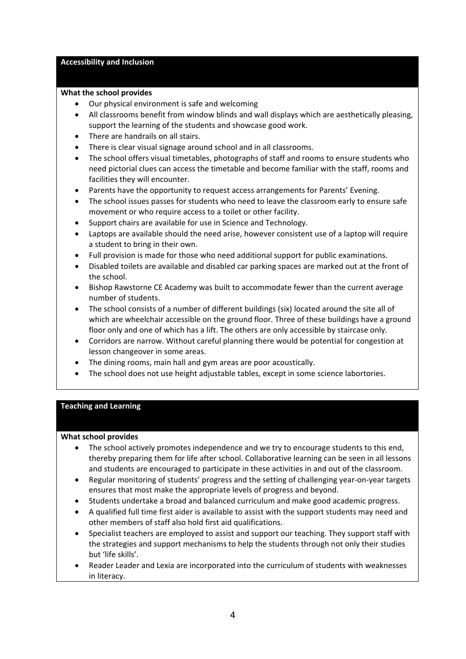#### **Accessibility and Inclusion**

#### **What the school provides**

- Our physical environment is safe and welcoming
- All classrooms benefit from window blinds and wall displays which are aesthetically pleasing, support the learning of the students and showcase good work.
- There are handrails on all stairs.
- There is clear visual signage around school and in all classrooms.
- The school offers visual timetables, photographs of staff and rooms to ensure students who need pictorial clues can access the timetable and become familiar with the staff, rooms and facilities they will encounter.
- Parents have the opportunity to request access arrangements for Parents' Evening.
- The school issues passes for students who need to leave the classroom early to ensure safe movement or who require access to a toilet or other facility.
- Support chairs are available for use in Science and Technology.
- Laptops are available should the need arise, however consistent use of a laptop will require a student to bring in their own.
- Full provision is made for those who need additional support for public examinations.
- Disabled toilets are available and disabled car parking spaces are marked out at the front of the school.
- Bishop Rawstorne CE Academy was built to accommodate fewer than the current average number of students.
- The school consists of a number of different buildings (six) located around the site all of which are wheelchair accessible on the ground floor. Three of these buildings have a ground floor only and one of which has a lift. The others are only accessible by staircase only.
- Corridors are narrow. Without careful planning there would be potential for congestion at lesson changeover in some areas.
- The dining rooms, main hall and gym areas are poor acoustically.
- The school does not use height adjustable tables, except in some science labortories.

# **Teaching and Learning**

#### **What school provides**

- The school actively promotes independence and we try to encourage students to this end, thereby preparing them for life after school. Collaborative learning can be seen in all lessons and students are encouraged to participate in these activities in and out of the classroom.
- Regular monitoring of students' progress and the setting of challenging year‐on‐year targets ensures that most make the appropriate levels of progress and beyond.
- Students undertake a broad and balanced curriculum and make good academic progress.
- A qualified full time first aider is available to assist with the support students may need and other members of staff also hold first aid qualifications.
- Specialist teachers are employed to assist and support our teaching. They support staff with the strategies and support mechanisms to help the students through not only their studies but 'life skills'.
- Reader Leader and Lexia are incorporated into the curriculum of students with weaknesses in literacy.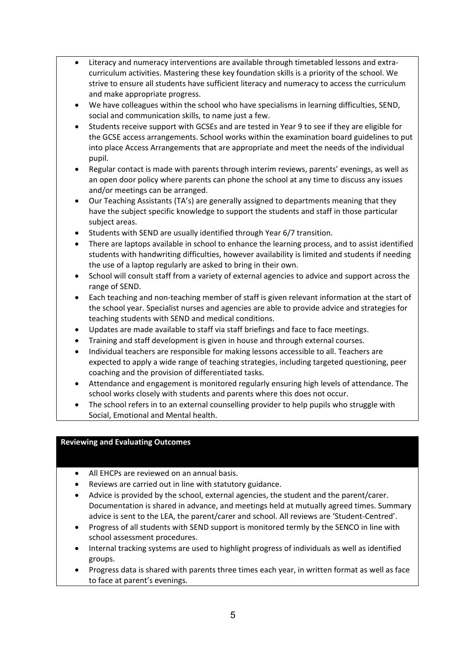- Literacy and numeracy interventions are available through timetabled lessons and extra‐ curriculum activities. Mastering these key foundation skills is a priority of the school. We strive to ensure all students have sufficient literacy and numeracy to access the curriculum and make appropriate progress.
- We have colleagues within the school who have specialisms in learning difficulties, SEND, social and communication skills, to name just a few.
- Students receive support with GCSEs and are tested in Year 9 to see if they are eligible for the GCSE access arrangements. School works within the examination board guidelines to put into place Access Arrangements that are appropriate and meet the needs of the individual pupil.
- Regular contact is made with parents through interim reviews, parents' evenings, as well as an open door policy where parents can phone the school at any time to discuss any issues and/or meetings can be arranged.
- Our Teaching Assistants (TA's) are generally assigned to departments meaning that they have the subject specific knowledge to support the students and staff in those particular subject areas.
- Students with SEND are usually identified through Year 6/7 transition.
- There are laptops available in school to enhance the learning process, and to assist identified students with handwriting difficulties, however availability is limited and students if needing the use of a laptop regularly are asked to bring in their own.
- School will consult staff from a variety of external agencies to advice and support across the range of SEND.
- Each teaching and non‐teaching member of staff is given relevant information at the start of the school year. Specialist nurses and agencies are able to provide advice and strategies for teaching students with SEND and medical conditions.
- Updates are made available to staff via staff briefings and face to face meetings.
- Training and staff development is given in house and through external courses.
- Individual teachers are responsible for making lessons accessible to all. Teachers are expected to apply a wide range of teaching strategies, including targeted questioning, peer coaching and the provision of differentiated tasks.
- Attendance and engagement is monitored regularly ensuring high levels of attendance. The school works closely with students and parents where this does not occur.
- The school refers in to an external counselling provider to help pupils who struggle with Social, Emotional and Mental health.

# **Reviewing and Evaluating Outcomes**

- All EHCPs are reviewed on an annual basis.
- Reviews are carried out in line with statutory guidance.
- Advice is provided by the school, external agencies, the student and the parent/carer. Documentation is shared in advance, and meetings held at mutually agreed times. Summary advice is sent to the LEA, the parent/carer and school. All reviews are 'Student‐Centred'.
- Progress of all students with SEND support is monitored termly by the SENCO in line with school assessment procedures.
- Internal tracking systems are used to highlight progress of individuals as well as identified groups.
- Progress data is shared with parents three times each year, in written format as well as face to face at parent's evenings.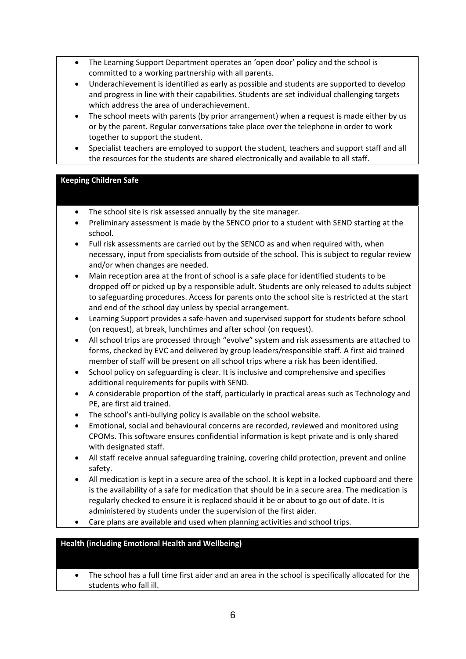- The Learning Support Department operates an 'open door' policy and the school is committed to a working partnership with all parents.
- Underachievement is identified as early as possible and students are supported to develop and progress in line with their capabilities. Students are set individual challenging targets which address the area of underachievement.
- The school meets with parents (by prior arrangement) when a request is made either by us or by the parent. Regular conversations take place over the telephone in order to work together to support the student.
- Specialist teachers are employed to support the student, teachers and support staff and all the resources for the students are shared electronically and available to all staff.

# **Keeping Children Safe**

- The school site is risk assessed annually by the site manager.
- Preliminary assessment is made by the SENCO prior to a student with SEND starting at the school.
- Full risk assessments are carried out by the SENCO as and when required with, when necessary, input from specialists from outside of the school. This is subject to regular review and/or when changes are needed.
- Main reception area at the front of school is a safe place for identified students to be dropped off or picked up by a responsible adult. Students are only released to adults subject to safeguarding procedures. Access for parents onto the school site is restricted at the start and end of the school day unless by special arrangement.
- Learning Support provides a safe-haven and supervised support for students before school (on request), at break, lunchtimes and after school (on request).
- All school trips are processed through "evolve" system and risk assessments are attached to forms, checked by EVC and delivered by group leaders/responsible staff. A first aid trained member of staff will be present on all school trips where a risk has been identified.
- School policy on safeguarding is clear. It is inclusive and comprehensive and specifies additional requirements for pupils with SEND.
- A considerable proportion of the staff, particularly in practical areas such as Technology and PE, are first aid trained.
- The school's anti-bullying policy is available on the school website.
- Emotional, social and behavioural concerns are recorded, reviewed and monitored using CPOMs. This software ensures confidential information is kept private and is only shared with designated staff.
- All staff receive annual safeguarding training, covering child protection, prevent and online safety.
- All medication is kept in a secure area of the school. It is kept in a locked cupboard and there is the availability of a safe for medication that should be in a secure area. The medication is regularly checked to ensure it is replaced should it be or about to go out of date. It is administered by students under the supervision of the first aider.
- Care plans are available and used when planning activities and school trips.

# **Health (including Emotional Health and Wellbeing)**

 The school has a full time first aider and an area in the school is specifically allocated for the students who fall ill.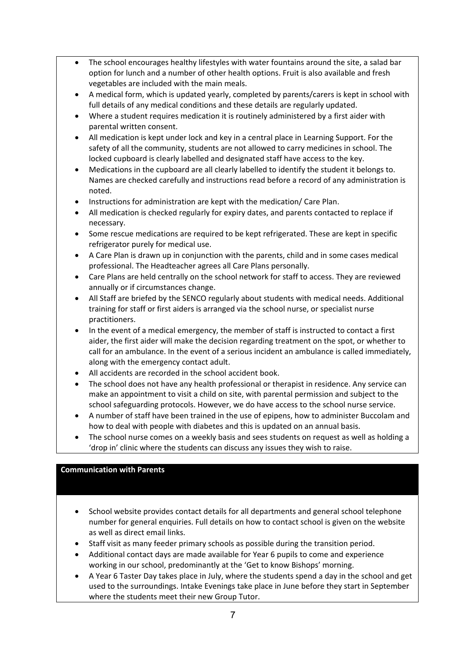- The school encourages healthy lifestyles with water fountains around the site, a salad bar option for lunch and a number of other health options. Fruit is also available and fresh vegetables are included with the main meals.
- A medical form, which is updated yearly, completed by parents/carers is kept in school with full details of any medical conditions and these details are regularly updated.
- Where a student requires medication it is routinely administered by a first aider with parental written consent.
- All medication is kept under lock and key in a central place in Learning Support. For the safety of all the community, students are not allowed to carry medicines in school. The locked cupboard is clearly labelled and designated staff have access to the key.
- Medications in the cupboard are all clearly labelled to identify the student it belongs to. Names are checked carefully and instructions read before a record of any administration is noted.
- Instructions for administration are kept with the medication/ Care Plan.
- All medication is checked regularly for expiry dates, and parents contacted to replace if necessary.
- Some rescue medications are required to be kept refrigerated. These are kept in specific refrigerator purely for medical use.
- A Care Plan is drawn up in conjunction with the parents, child and in some cases medical professional. The Headteacher agrees all Care Plans personally.
- Care Plans are held centrally on the school network for staff to access. They are reviewed annually or if circumstances change.
- All Staff are briefed by the SENCO regularly about students with medical needs. Additional training for staff or first aiders is arranged via the school nurse, or specialist nurse practitioners.
- In the event of a medical emergency, the member of staff is instructed to contact a first aider, the first aider will make the decision regarding treatment on the spot, or whether to call for an ambulance. In the event of a serious incident an ambulance is called immediately, along with the emergency contact adult.
- All accidents are recorded in the school accident book.
- The school does not have any health professional or therapist in residence. Any service can make an appointment to visit a child on site, with parental permission and subject to the school safeguarding protocols. However, we do have access to the school nurse service.
- A number of staff have been trained in the use of epipens, how to administer Buccolam and how to deal with people with diabetes and this is updated on an annual basis.
- The school nurse comes on a weekly basis and sees students on request as well as holding a 'drop in' clinic where the students can discuss any issues they wish to raise.

# **Communication with Parents**

- School website provides contact details for all departments and general school telephone number for general enquiries. Full details on how to contact school is given on the website as well as direct email links.
- Staff visit as many feeder primary schools as possible during the transition period.
- Additional contact days are made available for Year 6 pupils to come and experience working in our school, predominantly at the 'Get to know Bishops' morning.
- A Year 6 Taster Day takes place in July, where the students spend a day in the school and get used to the surroundings. Intake Evenings take place in June before they start in September where the students meet their new Group Tutor.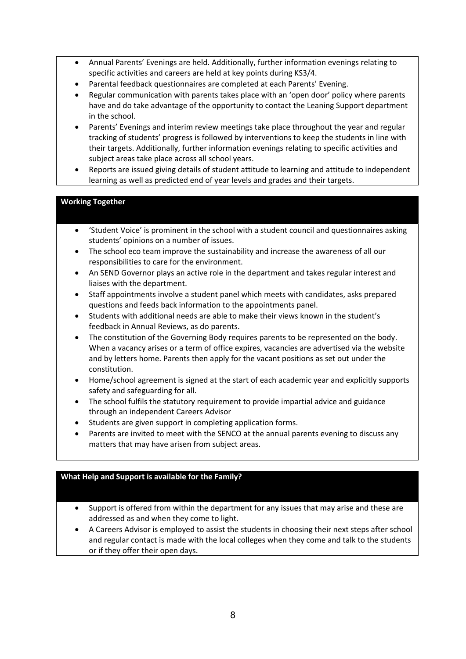- Annual Parents' Evenings are held. Additionally, further information evenings relating to specific activities and careers are held at key points during KS3/4.
- Parental feedback questionnaires are completed at each Parents' Evening.
- Regular communication with parents takes place with an 'open door' policy where parents have and do take advantage of the opportunity to contact the Leaning Support department in the school.
- Parents' Evenings and interim review meetings take place throughout the year and regular tracking of students' progress is followed by interventions to keep the students in line with their targets. Additionally, further information evenings relating to specific activities and subject areas take place across all school years.
- Reports are issued giving details of student attitude to learning and attitude to independent learning as well as predicted end of year levels and grades and their targets.

# **Working Together**

- 'Student Voice' is prominent in the school with a student council and questionnaires asking students' opinions on a number of issues.
- The school eco team improve the sustainability and increase the awareness of all our responsibilities to care for the environment.
- An SEND Governor plays an active role in the department and takes regular interest and liaises with the department.
- Staff appointments involve a student panel which meets with candidates, asks prepared questions and feeds back information to the appointments panel.
- Students with additional needs are able to make their views known in the student's feedback in Annual Reviews, as do parents.
- The constitution of the Governing Body requires parents to be represented on the body. When a vacancy arises or a term of office expires, vacancies are advertised via the website and by letters home. Parents then apply for the vacant positions as set out under the constitution.
- Home/school agreement is signed at the start of each academic year and explicitly supports safety and safeguarding for all.
- The school fulfils the statutory requirement to provide impartial advice and guidance through an independent Careers Advisor
- Students are given support in completing application forms.
- Parents are invited to meet with the SENCO at the annual parents evening to discuss any matters that may have arisen from subject areas.

# **What Help and Support is available for the Family?**

- Support is offered from within the department for any issues that may arise and these are addressed as and when they come to light.
- A Careers Advisor is employed to assist the students in choosing their next steps after school and regular contact is made with the local colleges when they come and talk to the students or if they offer their open days.